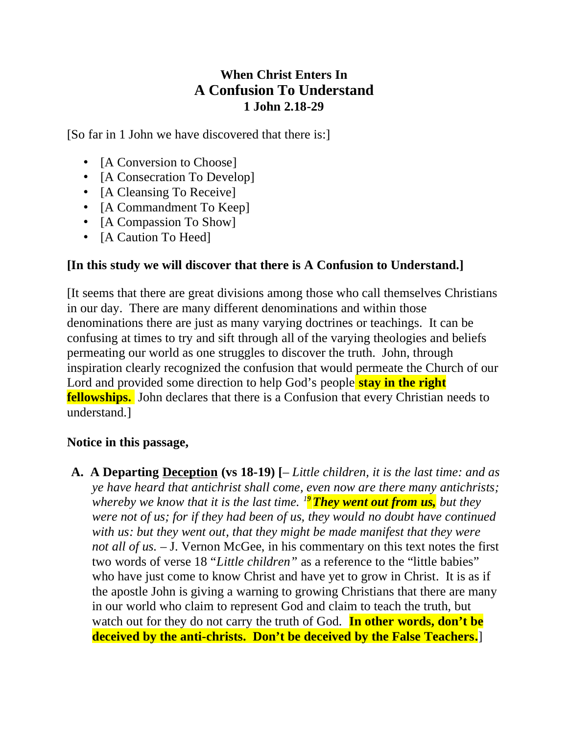## **When Christ Enters In A Confusion To Understand 1 John 2.18-29**

[So far in 1 John we have discovered that there is:]

- [A Conversion to Choose]
- [A Consecration To Develop]
- [A Cleansing To Receive]
- [A Commandment To Keep]
- [A Compassion To Show]
- [A Caution To Heed]

## **[In this study we will discover that there is A Confusion to Understand.]**

[It seems that there are great divisions among those who call themselves Christians in our day. There are many different denominations and within those denominations there are just as many varying doctrines or teachings. It can be confusing at times to try and sift through all of the varying theologies and beliefs permeating our world as one struggles to discover the truth. John, through inspiration clearly recognized the confusion that would permeate the Church of our Lord and provided some direction to help God's people **stay in the right fellowships.** John declares that there is a Confusion that every Christian needs to understand.]

## **Notice in this passage,**

**A. A Departing Deception (vs 18-19) [**– *Little children, it is the last time: and as ye have heard that antichrist shall come, even now are there many antichrists; whereby we know that it is the last time.* <sup>19</sup> They went out from us, but they *were not of us; for if they had been of us, they would no doubt have continued with us: but they went out, that they might be made manifest that they were not all of us.* – J. Vernon McGee, in his commentary on this text notes the first two words of verse 18 "*Little children"* as a reference to the "little babies" who have just come to know Christ and have yet to grow in Christ. It is as if the apostle John is giving a warning to growing Christians that there are many in our world who claim to represent God and claim to teach the truth, but watch out for they do not carry the truth of God. **In other words, don't be deceived by the anti-christs. Don't be deceived by the False Teachers.**]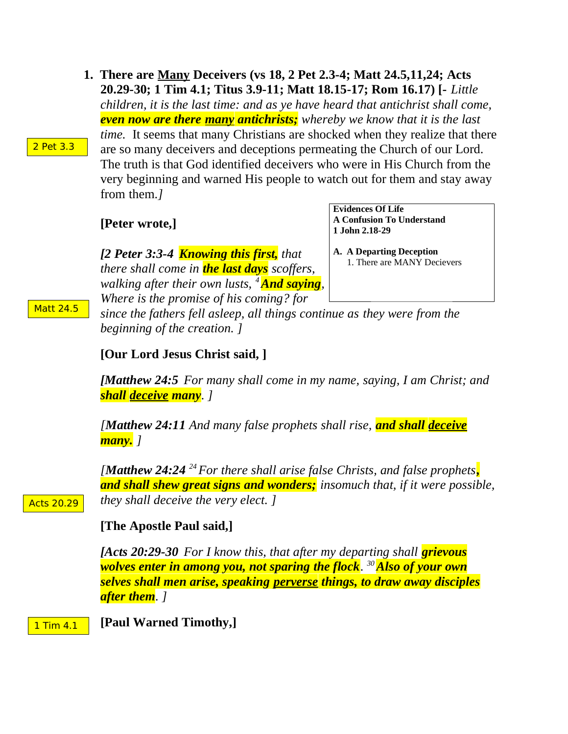**1. There are Many Deceivers (vs 18, 2 Pet 2.3-4; Matt 24.5,11,24; Acts 20.29-30; 1 Tim 4.1; Titus 3.9-11; Matt 18.15-17; Rom 16.17) [-** *Little children, it is the last time: and as ye have heard that antichrist shall come, even now are there many antichrists; whereby we know that it is the last time.* It seems that many Christians are shocked when they realize that there are so many deceivers and deceptions permeating the Church of our Lord. The truth is that God identified deceivers who were in His Church from the very beginning and warned His people to watch out for them and stay away from them.*]*

**[Peter wrote,]**

*[2 Peter 3:3-4 Knowing this first, that there shall come in the last days scoffers, walking after their own lusts, <sup>4</sup>And saying, Where is the promise of his coming? for*

**Evidences Of Life A Confusion To Understand 1 John 2.18-29**

**A. A Departing Deception** 1. There are MANY Decievers

*since the fathers fell asleep, all things continue as they were from the beginning of the creation. ]*

**[Our Lord Jesus Christ said, ]**

*[Matthew 24:5 For many shall come in my name, saying, I am Christ; and shall deceive many. ]*

*[Matthew 24:11 And many false prophets shall rise, and shall deceive many. ]*

*[Matthew 24:24 <sup>24</sup>For there shall arise false Christs, and false prophets, and shall shew great signs and wonders; insomuch that, if it were possible, they shall deceive the very elect. ]*

Acts 20.29

## **[The Apostle Paul said,]**

*[Acts 20:29-30 For I know this, that after my departing shall grievous wolves enter in among you, not sparing the flock. <sup>30</sup>Also of your own selves shall men arise, speaking perverse things, to draw away disciples after them. ]*

**[Paul Warned Timothy,]** 1 Tim 4.1

Matt 24.5

2 Pet 3.3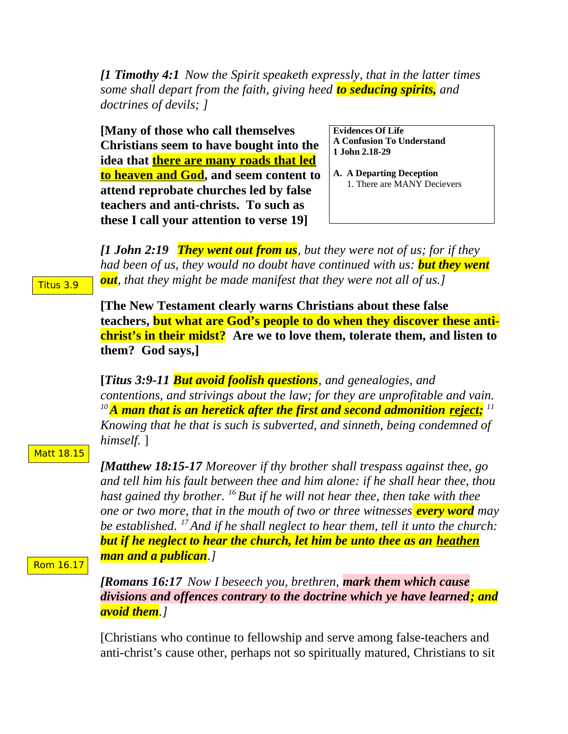*[1 Timothy 4:1 Now the Spirit speaketh expressly, that in the latter times some shall depart from the faith, giving heed to seducing spirits, and doctrines of devils; ]*

**[Many of those who call themselves Christians seem to have bought into the idea that there are many roads that led to heaven and God, and seem content to attend reprobate churches led by false teachers and anti-christs. To such as these I call your attention to verse 19]**

**Evidences Of Life A Confusion To Understand 1 John 2.18-29**

**A. A Departing Deception** 1. There are MANY Decievers

*[1 John 2:19 They went out from us, but they were not of us; for if they had been of us, they would no doubt have continued with us: but they went out, that they might be made manifest that they were not all of us.]* 

**[The New Testament clearly warns Christians about these false teachers, but what are God's people to do when they discover these antichrist's in their midst? Are we to love them, tolerate them, and listen to them? God says,]**

**[***Titus 3:9-11 But avoid foolish questions, and genealogies, and contentions, and strivings about the law; for they are unprofitable and vain. <sup>10</sup>A man that is an heretick after the first and second admonition reject; 11 Knowing that he that is such is subverted, and sinneth, being condemned of himself.* ]

Matt 18.15

*[Matthew 18:15-17 Moreover if thy brother shall trespass against thee, go and tell him his fault between thee and him alone: if he shall hear thee, thou hast gained thy brother. <sup>16</sup>But if he will not hear thee, then take with thee one or two more, that in the mouth of two or three witnesses every word may be established. <sup>17</sup>And if he shall neglect to hear them, tell it unto the church: but if he neglect to hear the church, let him be unto thee as an heathen man and a publican.]* 

Rom 16.17

*[Romans 16:17 Now I beseech you, brethren, mark them which cause divisions and offences contrary to the doctrine which ye have learned; and avoid them.]* 

[Christians who continue to fellowship and serve among false-teachers and anti-christ's cause other, perhaps not so spiritually matured, Christians to sit

Titus 3.9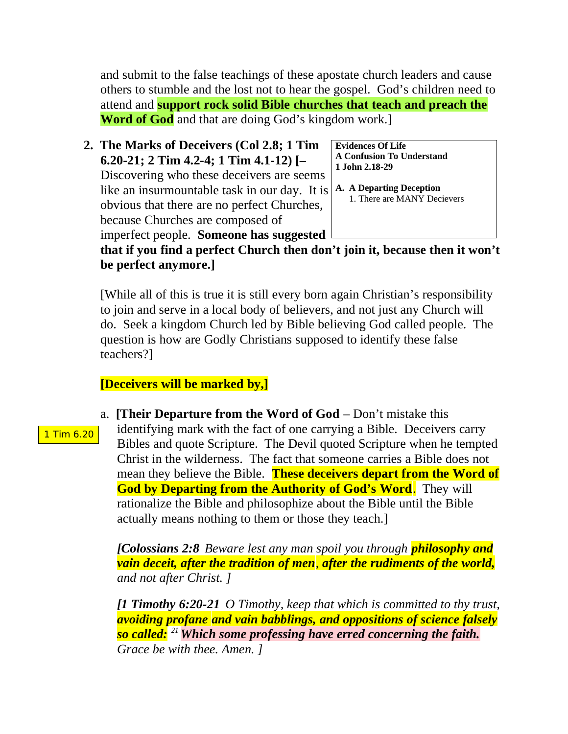and submit to the false teachings of these apostate church leaders and cause others to stumble and the lost not to hear the gospel. God's children need to attend and **support rock solid Bible churches that teach and preach the Word of God** and that are doing God's kingdom work.]

**2. The Marks of Deceivers (Col 2.8; 1 Tim 6.20-21; 2 Tim 4.2-4; 1 Tim 4.1-12) [–**  Discovering who these deceivers are seems like an insurmountable task in our day. It is obvious that there are no perfect Churches, because Churches are composed of imperfect people. **Someone has suggested**

**Evidences Of Life A Confusion To Understand 1 John 2.18-29**

**A. A Departing Deception** 1. There are MANY Decievers

**that if you find a perfect Church then don't join it, because then it won't be perfect anymore.]** 

[While all of this is true it is still every born again Christian's responsibility to join and serve in a local body of believers, and not just any Church will do. Seek a kingdom Church led by Bible believing God called people. The question is how are Godly Christians supposed to identify these false teachers?]

# **[Deceivers will be marked by,]**

1 Tim 6.20

a. **[Their Departure from the Word of God** – Don't mistake this identifying mark with the fact of one carrying a Bible. Deceivers carry Bibles and quote Scripture. The Devil quoted Scripture when he tempted Christ in the wilderness. The fact that someone carries a Bible does not mean they believe the Bible. **These deceivers depart from the Word of God by Departing from the Authority of God's Word**. They will rationalize the Bible and philosophize about the Bible until the Bible actually means nothing to them or those they teach.]

*[Colossians 2:8 Beware lest any man spoil you through philosophy and vain deceit, after the tradition of men, after the rudiments of the world, and not after Christ. ]*

*[1 Timothy 6:20-21 O Timothy, keep that which is committed to thy trust, avoiding profane and vain babblings, and oppositions of science falsely so called: <sup>21</sup>Which some professing have erred concerning the faith. Grace be with thee. Amen. ]*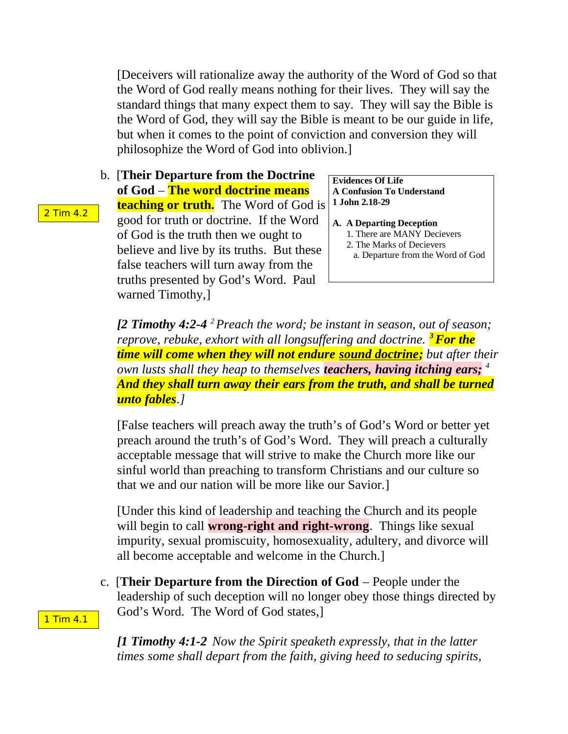[Deceivers will rationalize away the authority of the Word of God so that the Word of God really means nothing for their lives. They will say the standard things that many expect them to say. They will say the Bible is the Word of God, they will say the Bible is meant to be our guide in life, but when it comes to the point of conviction and conversion they will philosophize the Word of God into oblivion.]

b. [**Their Departure from the Doctrine of God** – **The word doctrine means teaching or truth.** The Word of God is good for truth or doctrine. If the Word of God is the truth then we ought to believe and live by its truths. But these false teachers will turn away from the truths presented by God's Word. Paul warned Timothy,]

**Evidences Of Life A Confusion To Understand 1 John 2.18-29**

- **A. A Departing Deception** 1. There are MANY Decievers
	- 2. The Marks of Decievers
	- a. Departure from the Word of God

*[2 Timothy 4:2-4 <sup>2</sup>Preach the word; be instant in season, out of season; reprove, rebuke, exhort with all longsuffering and doctrine. <sup>3</sup>For the time will come when they will not endure sound doctrine; but after their own lusts shall they heap to themselves teachers, having itching ears; <sup>4</sup> And they shall turn away their ears from the truth, and shall be turned unto fables.]*

[False teachers will preach away the truth's of God's Word or better yet preach around the truth's of God's Word. They will preach a culturally acceptable message that will strive to make the Church more like our sinful world than preaching to transform Christians and our culture so that we and our nation will be more like our Savior.]

[Under this kind of leadership and teaching the Church and its people will begin to call **wrong-right and right-wrong**. Things like sexual impurity, sexual promiscuity, homosexuality, adultery, and divorce will all become acceptable and welcome in the Church.]

c. [**Their Departure from the Direction of God** – People under the leadership of such deception will no longer obey those things directed by God's Word. The Word of God states,]

*[1 Timothy 4:1-2 Now the Spirit speaketh expressly, that in the latter times some shall depart from the faith, giving heed to seducing spirits,* 

2 Tim 4.2

1 Tim 4.1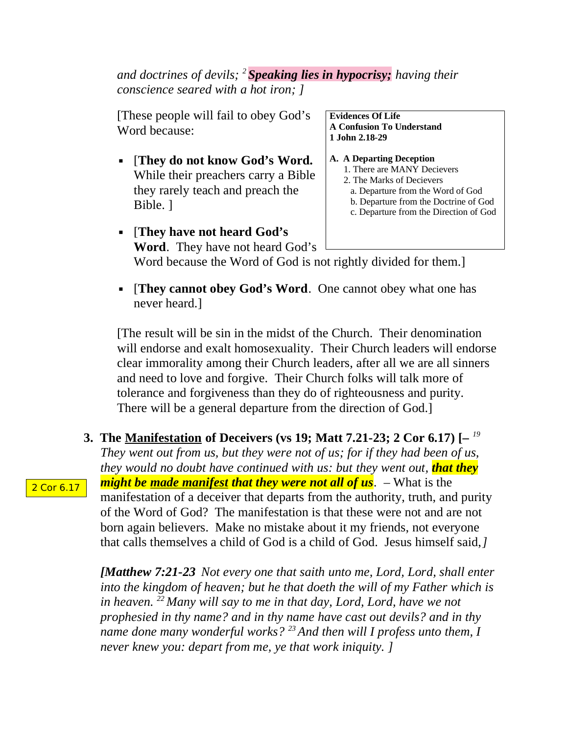*and doctrines of devils; <sup>2</sup>Speaking lies in hypocrisy; having their conscience seared with a hot iron; ]*

[These people will fail to obey God's Word because:

▪ [**They do not know God's Word.** While their preachers carry a Bible they rarely teach and preach the Bible. ]

**Evidences Of Life A Confusion To Understand 1 John 2.18-29**

### **A. A Departing Deception**

- 1. There are MANY Decievers
- 2. The Marks of Decievers
- a. Departure from the Word of God
- b. Departure from the Doctrine of God c. Departure from the Direction of God
- [**They have not heard God's Word**. They have not heard God's Word because the Word of God is not rightly divided for them.]
- **·** [They cannot obey God's Word. One cannot obey what one has never heard.]

[The result will be sin in the midst of the Church. Their denomination will endorse and exalt homosexuality. Their Church leaders will endorse clear immorality among their Church leaders, after all we are all sinners and need to love and forgive. Their Church folks will talk more of tolerance and forgiveness than they do of righteousness and purity. There will be a general departure from the direction of God.]

**3. The Manifestation of Deceivers (vs 19; Matt 7.21-23; 2 Cor 6.17) [–** *<sup>19</sup> They went out from us, but they were not of us; for if they had been of us, they would no doubt have continued with us: but they went out, that they might be made manifest that they were not all of us. –* What is the manifestation of a deceiver that departs from the authority, truth, and purity of the Word of God? The manifestation is that these were not and are not born again believers. Make no mistake about it my friends, not everyone that calls themselves a child of God is a child of God. Jesus himself said,*]*

*[Matthew 7:21-23 Not every one that saith unto me, Lord, Lord, shall enter into the kingdom of heaven; but he that doeth the will of my Father which is in heaven. <sup>22</sup>Many will say to me in that day, Lord, Lord, have we not prophesied in thy name? and in thy name have cast out devils? and in thy name done many wonderful works? <sup>23</sup>And then will I profess unto them, I never knew you: depart from me, ye that work iniquity. ]*

2 Cor 6.17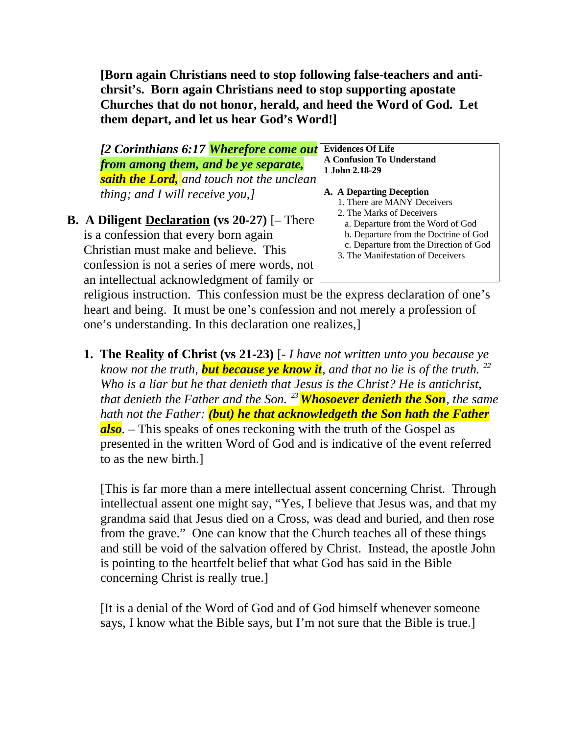**[Born again Christians need to stop following false-teachers and antichrsit's. Born again Christians need to stop supporting apostate Churches that do not honor, herald, and heed the Word of God. Let them depart, and let us hear God's Word!]**

*[2 Corinthians 6:17 Wherefore come out from among them, and be ye separate, saith the Lord, and touch not the unclean thing; and I will receive you,]* 

## **B. A Diligent Declaration (vs 20-27)** [– There is a confession that every born again Christian must make and believe. This confession is not a series of mere words, not an intellectual acknowledgment of family or

#### **Evidences Of Life A Confusion To Understand 1 John 2.18-29**

- **A. A Departing Deception**
	- 1. There are MANY Deceivers
	- 2. The Marks of Deceivers
	- a. Departure from the Word of God
	- b. Departure from the Doctrine of God
	- c. Departure from the Direction of God
	- 3. The Manifestation of Deceivers

religious instruction. This confession must be the express declaration of one's heart and being. It must be one's confession and not merely a profession of one's understanding. In this declaration one realizes,]

**1. The Reality of Christ (vs 21-23)** [- *I have not written unto you because ye know not the truth, but because ye know it, and that no lie is of the truth. <sup>22</sup> Who is a liar but he that denieth that Jesus is the Christ? He is antichrist, that denieth the Father and the Son. <sup>23</sup>Whosoever denieth the Son, the same hath not the Father: (but) he that acknowledgeth the Son hath the Father also.* – This speaks of ones reckoning with the truth of the Gospel as presented in the written Word of God and is indicative of the event referred to as the new birth.]

[This is far more than a mere intellectual assent concerning Christ. Through intellectual assent one might say, "Yes, I believe that Jesus was, and that my grandma said that Jesus died on a Cross, was dead and buried, and then rose from the grave." One can know that the Church teaches all of these things and still be void of the salvation offered by Christ. Instead, the apostle John is pointing to the heartfelt belief that what God has said in the Bible concerning Christ is really true.]

[It is a denial of the Word of God and of God himself whenever someone says, I know what the Bible says, but I'm not sure that the Bible is true.]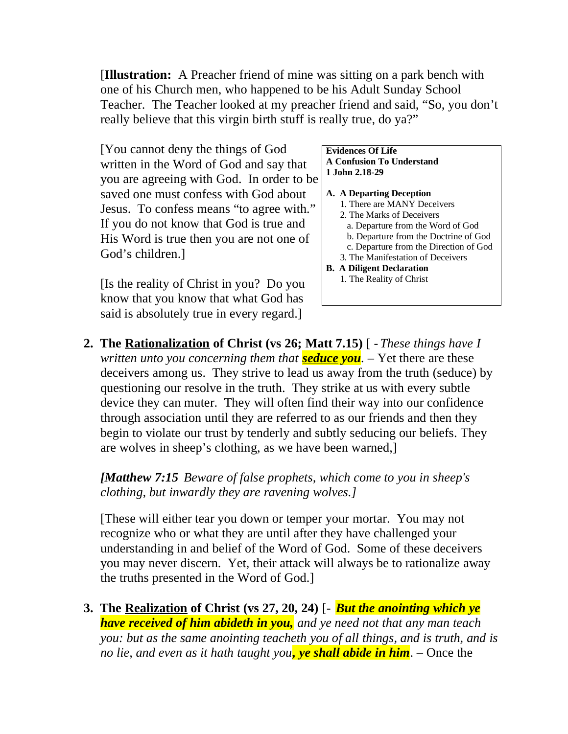[**Illustration:** A Preacher friend of mine was sitting on a park bench with one of his Church men, who happened to be his Adult Sunday School Teacher. The Teacher looked at my preacher friend and said, "So, you don't really believe that this virgin birth stuff is really true, do ya?"

[You cannot deny the things of God written in the Word of God and say that you are agreeing with God. In order to be saved one must confess with God about Jesus. To confess means "to agree with." If you do not know that God is true and His Word is true then you are not one of God's children.]

[Is the reality of Christ in you? Do you know that you know that what God has said is absolutely true in every regard.]

#### **Evidences Of Life A Confusion To Understand 1 John 2.18-29**

- **A. A Departing Deception**
	- 1. There are MANY Deceivers
	- 2. The Marks of Deceivers
	- a. Departure from the Word of God
	- b. Departure from the Doctrine of God
	- c. Departure from the Direction of God
	- 3. The Manifestation of Deceivers
- **B. A Diligent Declaration** 1. The Reality of Christ
- **2. The Rationalization of Christ (vs 26; Matt 7.15)** [ *These things have I written unto you concerning them that seduce you.* – Yet there are these deceivers among us. They strive to lead us away from the truth (seduce) by questioning our resolve in the truth. They strike at us with every subtle device they can muter. They will often find their way into our confidence through association until they are referred to as our friends and then they begin to violate our trust by tenderly and subtly seducing our beliefs. They are wolves in sheep's clothing, as we have been warned,]

*[Matthew 7:15 Beware of false prophets, which come to you in sheep's clothing, but inwardly they are ravening wolves.]*

[These will either tear you down or temper your mortar. You may not recognize who or what they are until after they have challenged your understanding in and belief of the Word of God. Some of these deceivers you may never discern. Yet, their attack will always be to rationalize away the truths presented in the Word of God.]

**3. The Realization of Christ (vs 27, 20, 24)** [- *But the anointing which ye have received of him abideth in you, and ye need not that any man teach you: but as the same anointing teacheth you of all things, and is truth, and is no lie, and even as it hath taught you, ye shall abide in him*. – Once the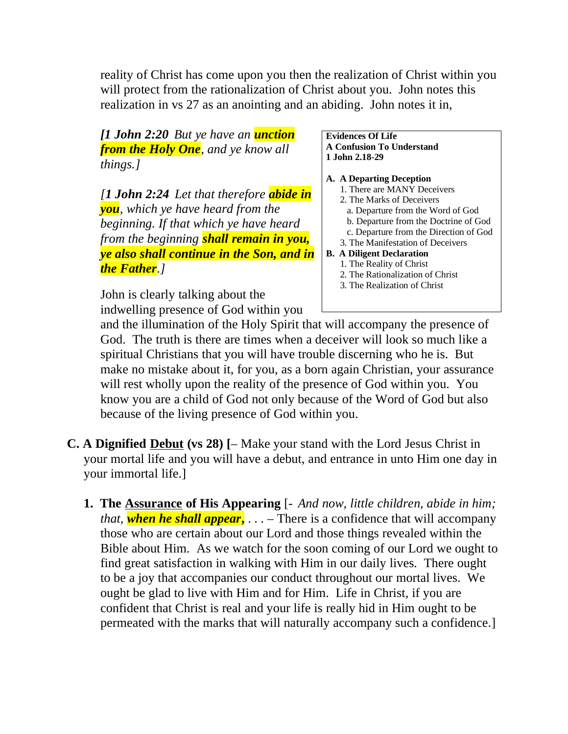reality of Christ has come upon you then the realization of Christ within you will protect from the rationalization of Christ about you. John notes this realization in vs 27 as an anointing and an abiding. John notes it in,

*[1 John 2:20 But ye have an unction from the Holy One, and ye know all things.]*

*[1 John 2:24 Let that therefore abide in you, which ye have heard from the beginning. If that which ye have heard from the beginning shall remain in you, ye also shall continue in the Son, and in the Father.]* 

John is clearly talking about the indwelling presence of God within you

#### **Evidences Of Life A Confusion To Understand 1 John 2.18-29**

- **A. A Departing Deception**
	- 1. There are MANY Deceivers
	- 2. The Marks of Deceivers
	- a. Departure from the Word of God
	- b. Departure from the Doctrine of God
	- c. Departure from the Direction of God
	- 3. The Manifestation of Deceivers

### **B. A Diligent Declaration**

- 1. The Reality of Christ
- 2. The Rationalization of Christ
- 3. The Realization of Christ

and the illumination of the Holy Spirit that will accompany the presence of God. The truth is there are times when a deceiver will look so much like a spiritual Christians that you will have trouble discerning who he is. But make no mistake about it, for you, as a born again Christian, your assurance will rest wholly upon the reality of the presence of God within you. You know you are a child of God not only because of the Word of God but also because of the living presence of God within you.

- **C. A Dignified Debut (vs 28) [** Make your stand with the Lord Jesus Christ in your mortal life and you will have a debut, and entrance in unto Him one day in your immortal life.]
	- **1. The Assurance of His Appearing** [- *And now, little children, abide in him; that, when he shall appear***,** . . . *–* There is a confidence that will accompany those who are certain about our Lord and those things revealed within the Bible about Him. As we watch for the soon coming of our Lord we ought to find great satisfaction in walking with Him in our daily lives. There ought to be a joy that accompanies our conduct throughout our mortal lives. We ought be glad to live with Him and for Him. Life in Christ, if you are confident that Christ is real and your life is really hid in Him ought to be permeated with the marks that will naturally accompany such a confidence.]